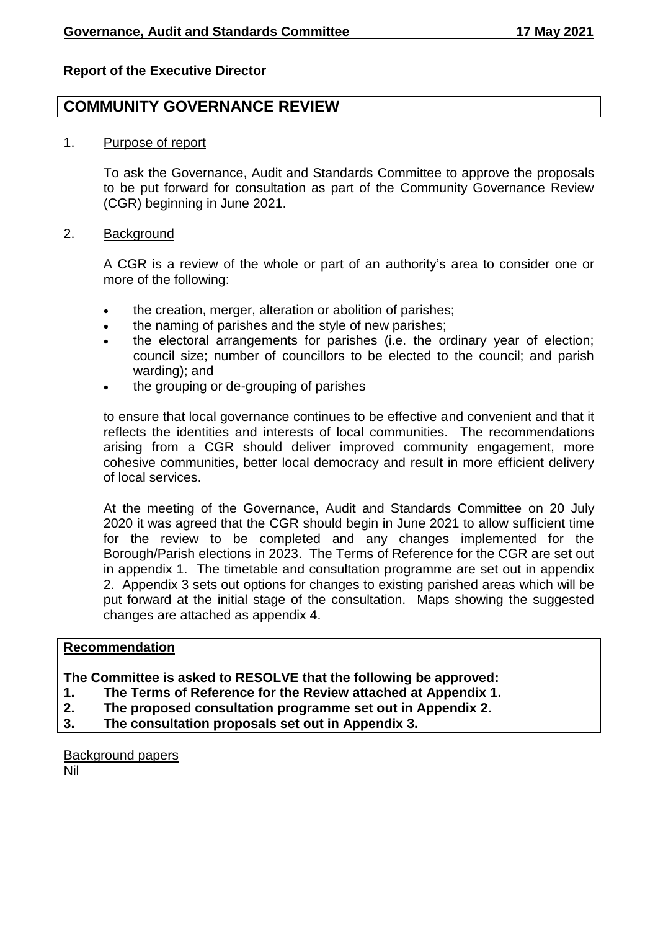### **Report of the Executive Director**

# **COMMUNITY GOVERNANCE REVIEW**

1. Purpose of report

To ask the Governance, Audit and Standards Committee to approve the proposals to be put forward for consultation as part of the Community Governance Review (CGR) beginning in June 2021.

2. Background

A CGR is a review of the whole or part of an authority's area to consider one or more of the following:

- the creation, merger, alteration or abolition of parishes;
- the naming of parishes and the style of new parishes;
- the electoral arrangements for parishes (i.e. the ordinary year of election; council size; number of councillors to be elected to the council; and parish warding); and
- the grouping or de-grouping of parishes

to ensure that local governance continues to be effective and convenient and that it reflects the identities and interests of local communities. The recommendations arising from a CGR should deliver improved community engagement, more cohesive communities, better local democracy and result in more efficient delivery of local services.

At the meeting of the Governance, Audit and Standards Committee on 20 July 2020 it was agreed that the CGR should begin in June 2021 to allow sufficient time for the review to be completed and any changes implemented for the Borough/Parish elections in 2023. The Terms of Reference for the CGR are set out in appendix 1. The timetable and consultation programme are set out in appendix 2. Appendix 3 sets out options for changes to existing parished areas which will be put forward at the initial stage of the consultation. Maps showing the suggested changes are attached as appendix 4.

#### **Recommendation**

#### **The Committee is asked to RESOLVE that the following be approved:**

- **1. The Terms of Reference for the Review attached at Appendix 1.**
- **2. The proposed consultation programme set out in Appendix 2.**
- **3. The consultation proposals set out in Appendix 3.**

Background papers Nil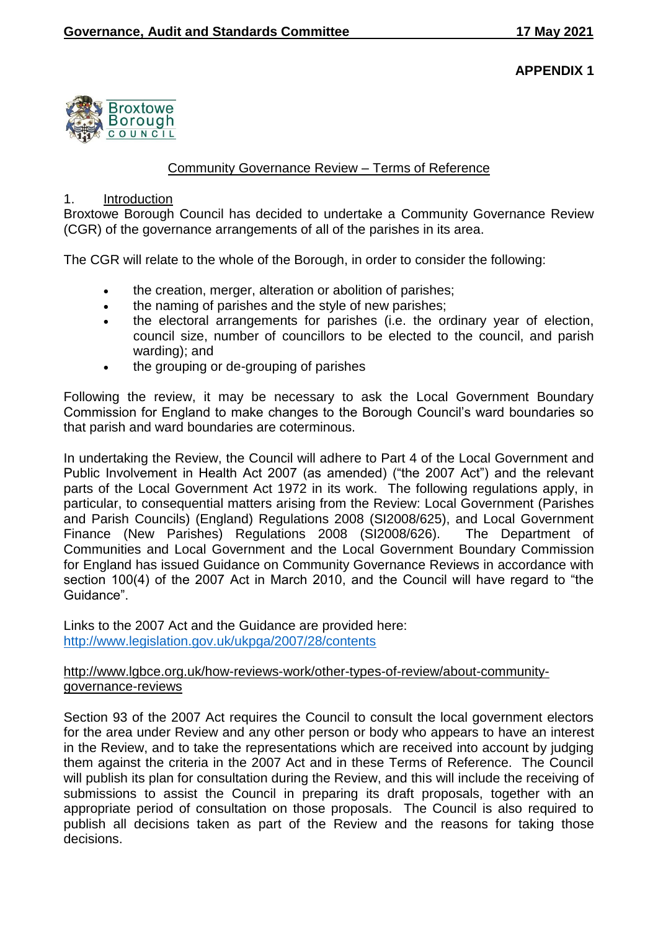

# Community Governance Review – Terms of Reference

#### 1. Introduction

Broxtowe Borough Council has decided to undertake a Community Governance Review (CGR) of the governance arrangements of all of the parishes in its area.

The CGR will relate to the whole of the Borough, in order to consider the following:

- the creation, merger, alteration or abolition of parishes;
- the naming of parishes and the style of new parishes;
- the electoral arrangements for parishes (i.e. the ordinary year of election, council size, number of councillors to be elected to the council, and parish warding); and
- the grouping or de-grouping of parishes

Following the review, it may be necessary to ask the Local Government Boundary Commission for England to make changes to the Borough Council's ward boundaries so that parish and ward boundaries are coterminous.

In undertaking the Review, the Council will adhere to Part 4 of the Local Government and Public Involvement in Health Act 2007 (as amended) ("the 2007 Act") and the relevant parts of the Local Government Act 1972 in its work. The following regulations apply, in particular, to consequential matters arising from the Review: Local Government (Parishes and Parish Councils) (England) Regulations 2008 (SI2008/625), and Local Government Finance (New Parishes) Regulations 2008 (SI2008/626). The Department of Communities and Local Government and the Local Government Boundary Commission for England has issued Guidance on Community Governance Reviews in accordance with section 100(4) of the 2007 Act in March 2010, and the Council will have regard to "the Guidance".

Links to the 2007 Act and the Guidance are provided here: <http://www.legislation.gov.uk/ukpga/2007/28/contents>

## [http://www.lgbce.org.uk/how-reviews-work/other-types-of-review/about-community](http://www.lgbce.org.uk/how-reviews-work/other-types-of-review/about-community-governance-reviews)[governance-reviews](http://www.lgbce.org.uk/how-reviews-work/other-types-of-review/about-community-governance-reviews)

Section 93 of the 2007 Act requires the Council to consult the local government electors for the area under Review and any other person or body who appears to have an interest in the Review, and to take the representations which are received into account by judging them against the criteria in the 2007 Act and in these Terms of Reference. The Council will publish its plan for consultation during the Review, and this will include the receiving of submissions to assist the Council in preparing its draft proposals, together with an appropriate period of consultation on those proposals. The Council is also required to publish all decisions taken as part of the Review and the reasons for taking those decisions.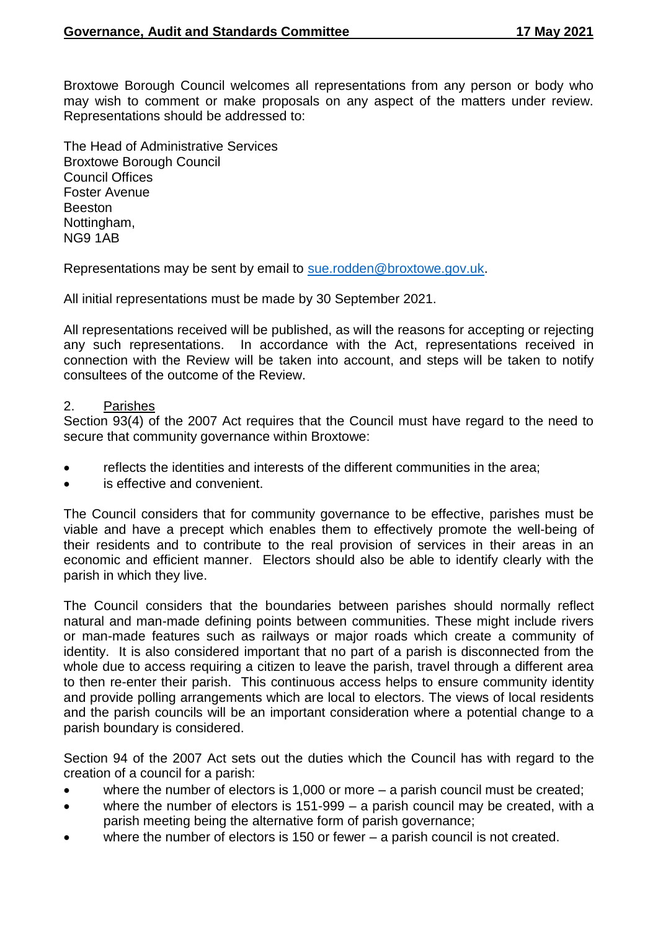Broxtowe Borough Council welcomes all representations from any person or body who may wish to comment or make proposals on any aspect of the matters under review. Representations should be addressed to:

The Head of Administrative Services Broxtowe Borough Council Council Offices Foster Avenue Beeston Nottingham, NG9 1AB

Representations may be sent by email to [sue.rodden@broxtowe.gov.uk.](mailto:sue.rodden@broxtowe.gov.uk)

All initial representations must be made by 30 September 2021.

All representations received will be published, as will the reasons for accepting or rejecting any such representations. In accordance with the Act, representations received in connection with the Review will be taken into account, and steps will be taken to notify consultees of the outcome of the Review.

#### 2. Parishes

Section 93(4) of the 2007 Act requires that the Council must have regard to the need to secure that community governance within Broxtowe:

- reflects the identities and interests of the different communities in the area;
- is effective and convenient.

The Council considers that for community governance to be effective, parishes must be viable and have a precept which enables them to effectively promote the well-being of their residents and to contribute to the real provision of services in their areas in an economic and efficient manner. Electors should also be able to identify clearly with the parish in which they live.

The Council considers that the boundaries between parishes should normally reflect natural and man-made defining points between communities. These might include rivers or man-made features such as railways or major roads which create a community of identity. It is also considered important that no part of a parish is disconnected from the whole due to access requiring a citizen to leave the parish, travel through a different area to then re-enter their parish. This continuous access helps to ensure community identity and provide polling arrangements which are local to electors. The views of local residents and the parish councils will be an important consideration where a potential change to a parish boundary is considered.

Section 94 of the 2007 Act sets out the duties which the Council has with regard to the creation of a council for a parish:

- where the number of electors is 1,000 or more a parish council must be created;
- where the number of electors is 151-999 a parish council may be created, with a parish meeting being the alternative form of parish governance;
- where the number of electors is 150 or fewer a parish council is not created.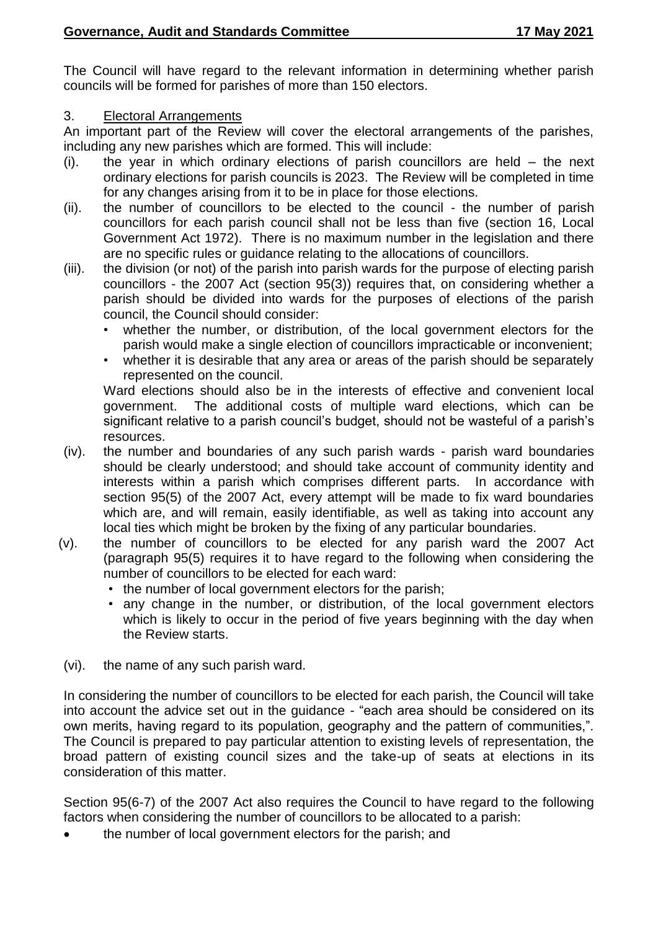The Council will have regard to the relevant information in determining whether parish councils will be formed for parishes of more than 150 electors.

## 3. Electoral Arrangements

An important part of the Review will cover the electoral arrangements of the parishes, including any new parishes which are formed. This will include:

- (i). the year in which ordinary elections of parish councillors are held the next ordinary elections for parish councils is 2023. The Review will be completed in time for any changes arising from it to be in place for those elections.
- (ii). the number of councillors to be elected to the council the number of parish councillors for each parish council shall not be less than five (section 16, Local Government Act 1972). There is no maximum number in the legislation and there are no specific rules or guidance relating to the allocations of councillors.
- (iii). the division (or not) of the parish into parish wards for the purpose of electing parish councillors - the 2007 Act (section 95(3)) requires that, on considering whether a parish should be divided into wards for the purposes of elections of the parish council, the Council should consider:
	- whether the number, or distribution, of the local government electors for the parish would make a single election of councillors impracticable or inconvenient;
	- whether it is desirable that any area or areas of the parish should be separately represented on the council.

Ward elections should also be in the interests of effective and convenient local government. The additional costs of multiple ward elections, which can be significant relative to a parish council's budget, should not be wasteful of a parish's resources.

- (iv). the number and boundaries of any such parish wards parish ward boundaries should be clearly understood; and should take account of community identity and interests within a parish which comprises different parts. In accordance with section 95(5) of the 2007 Act, every attempt will be made to fix ward boundaries which are, and will remain, easily identifiable, as well as taking into account any local ties which might be broken by the fixing of any particular boundaries.
- (v). the number of councillors to be elected for any parish ward the 2007 Act (paragraph 95(5) requires it to have regard to the following when considering the number of councillors to be elected for each ward:
	- the number of local government electors for the parish;
	- any change in the number, or distribution, of the local government electors which is likely to occur in the period of five years beginning with the day when the Review starts.
- (vi). the name of any such parish ward.

In considering the number of councillors to be elected for each parish, the Council will take into account the advice set out in the guidance - "each area should be considered on its own merits, having regard to its population, geography and the pattern of communities,". The Council is prepared to pay particular attention to existing levels of representation, the broad pattern of existing council sizes and the take-up of seats at elections in its consideration of this matter.

Section 95(6-7) of the 2007 Act also requires the Council to have regard to the following factors when considering the number of councillors to be allocated to a parish:

the number of local government electors for the parish; and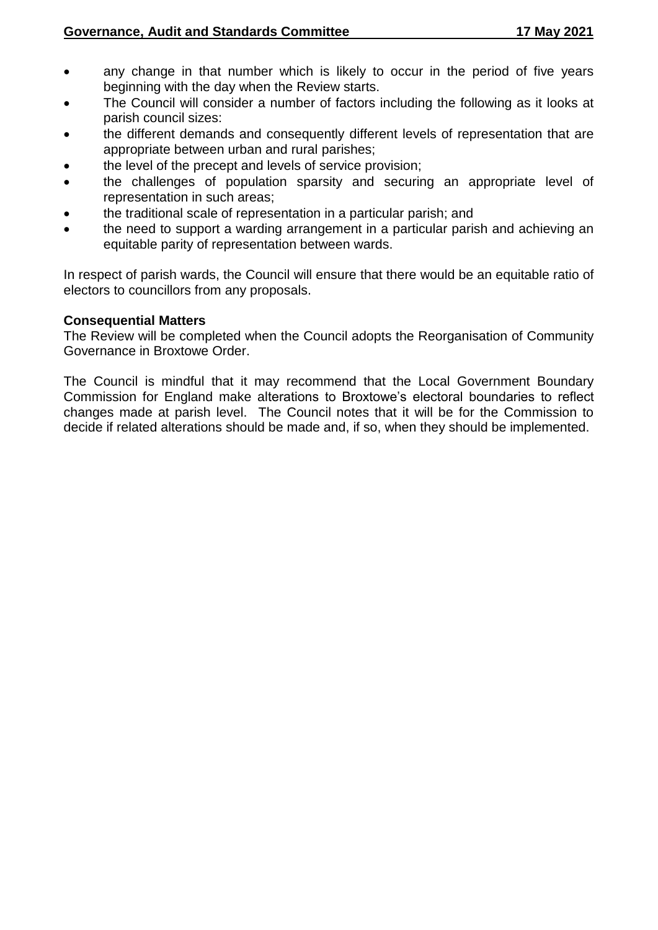- any change in that number which is likely to occur in the period of five years beginning with the day when the Review starts.
- The Council will consider a number of factors including the following as it looks at parish council sizes:
- the different demands and consequently different levels of representation that are appropriate between urban and rural parishes;
- the level of the precept and levels of service provision;
- the challenges of population sparsity and securing an appropriate level of representation in such areas;
- the traditional scale of representation in a particular parish; and
- the need to support a warding arrangement in a particular parish and achieving an equitable parity of representation between wards.

In respect of parish wards, the Council will ensure that there would be an equitable ratio of electors to councillors from any proposals.

#### **Consequential Matters**

The Review will be completed when the Council adopts the Reorganisation of Community Governance in Broxtowe Order.

The Council is mindful that it may recommend that the Local Government Boundary Commission for England make alterations to Broxtowe's electoral boundaries to reflect changes made at parish level. The Council notes that it will be for the Commission to decide if related alterations should be made and, if so, when they should be implemented.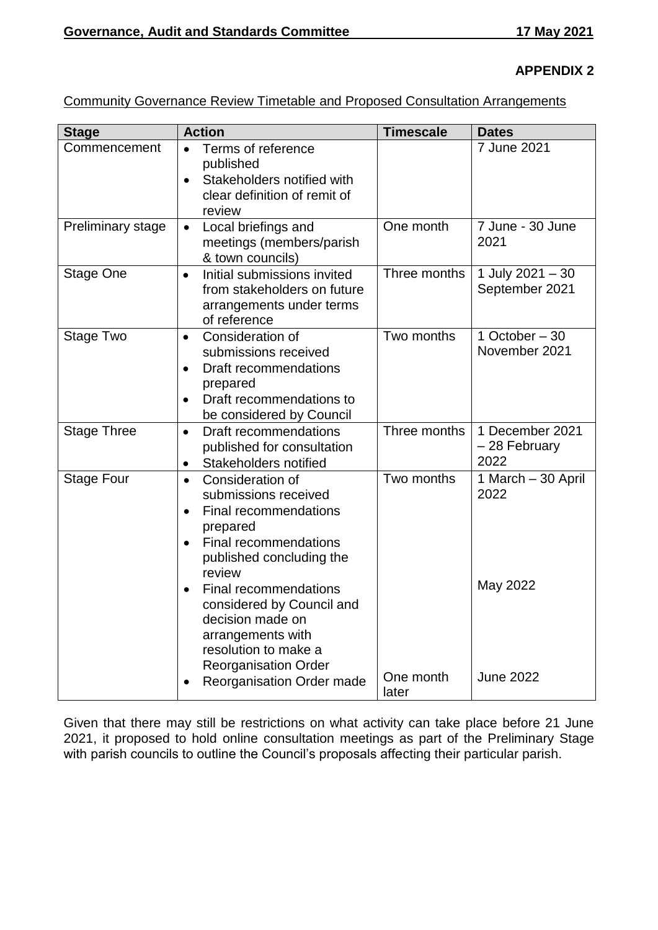## **APPENDIX 2**

|--|

| <b>Stage</b>             | <b>Action</b>                                                                                                                                                                                                                                                                                                            | <b>Timescale</b>   | <b>Dates</b>                             |  |  |
|--------------------------|--------------------------------------------------------------------------------------------------------------------------------------------------------------------------------------------------------------------------------------------------------------------------------------------------------------------------|--------------------|------------------------------------------|--|--|
| Commencement             | Terms of reference<br>published<br>Stakeholders notified with<br>$\bullet$<br>clear definition of remit of<br>review                                                                                                                                                                                                     |                    | 7 June 2021                              |  |  |
| <b>Preliminary stage</b> | Local briefings and<br>$\bullet$<br>meetings (members/parish<br>& town councils)                                                                                                                                                                                                                                         | One month          | 7 June - 30 June<br>2021                 |  |  |
| <b>Stage One</b>         | Initial submissions invited<br>$\bullet$<br>from stakeholders on future<br>arrangements under terms<br>of reference                                                                                                                                                                                                      | Three months       | 1 July 2021 - 30<br>September 2021       |  |  |
| Stage Two                | Consideration of<br>$\bullet$<br>submissions received<br>Draft recommendations<br>$\bullet$<br>prepared<br>Draft recommendations to<br>$\bullet$<br>be considered by Council                                                                                                                                             | Two months         | 1 October $-30$<br>November 2021         |  |  |
| <b>Stage Three</b>       | Draft recommendations<br>$\bullet$<br>published for consultation<br>Stakeholders notified<br>$\bullet$                                                                                                                                                                                                                   | Three months       | 1 December 2021<br>- 28 February<br>2022 |  |  |
| <b>Stage Four</b>        | Consideration of<br>$\bullet$<br>submissions received<br>Final recommendations<br>$\bullet$<br>prepared<br><b>Final recommendations</b><br>$\bullet$<br>published concluding the<br>review<br><b>Final recommendations</b><br>considered by Council and<br>decision made on<br>arrangements with<br>resolution to make a | Two months         | 1 March - 30 April<br>2022<br>May 2022   |  |  |
|                          | <b>Reorganisation Order</b><br><b>Reorganisation Order made</b>                                                                                                                                                                                                                                                          | One month<br>later | <b>June 2022</b>                         |  |  |

Given that there may still be restrictions on what activity can take place before 21 June 2021, it proposed to hold online consultation meetings as part of the Preliminary Stage with parish councils to outline the Council's proposals affecting their particular parish.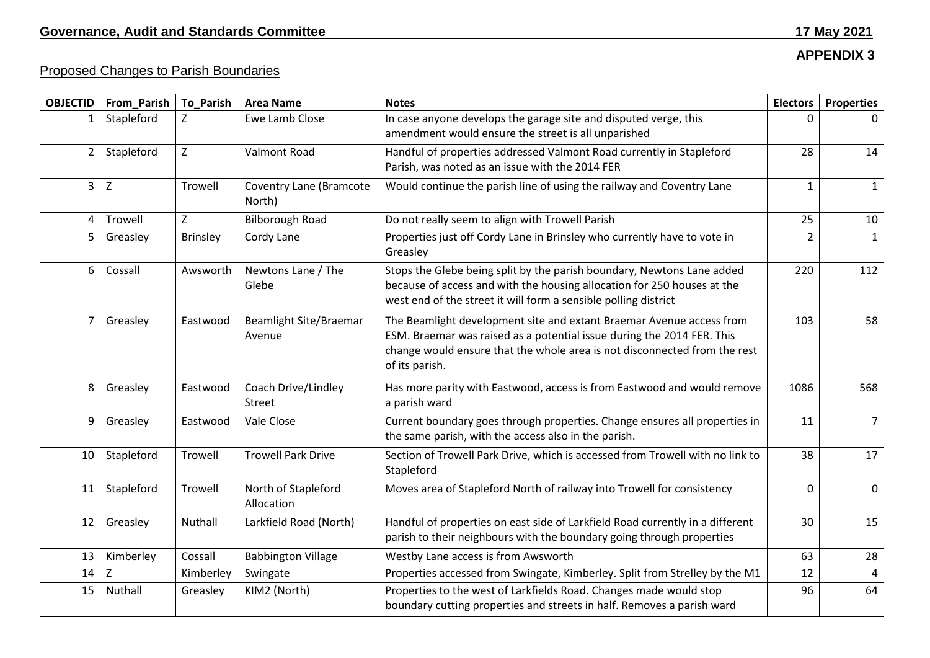# **APPENDIX 3**

# Proposed Changes to Parish Boundaries

| <b>OBJECTID</b> | From_Parish | <b>To_Parish</b> | <b>Area Name</b>                         | <b>Notes</b>                                                                                                                                                                                                                                  | <b>Electors</b> | <b>Properties</b> |
|-----------------|-------------|------------------|------------------------------------------|-----------------------------------------------------------------------------------------------------------------------------------------------------------------------------------------------------------------------------------------------|-----------------|-------------------|
| 1               | Stapleford  | Z                | Ewe Lamb Close                           | In case anyone develops the garage site and disputed verge, this<br>amendment would ensure the street is all unparished                                                                                                                       | 0               | 0                 |
| $\overline{2}$  | Stapleford  | Z                | <b>Valmont Road</b>                      | Handful of properties addressed Valmont Road currently in Stapleford<br>Parish, was noted as an issue with the 2014 FER                                                                                                                       | 28              | 14                |
| $\mathbf{3}$    | $\mathsf Z$ | Trowell          | <b>Coventry Lane (Bramcote</b><br>North) | Would continue the parish line of using the railway and Coventry Lane                                                                                                                                                                         | $\mathbf{1}$    | 1                 |
| 4               | Trowell     | Z                | <b>Bilborough Road</b>                   | Do not really seem to align with Trowell Parish                                                                                                                                                                                               | 25              | 10                |
| 5               | Greasley    | <b>Brinsley</b>  | Cordy Lane                               | Properties just off Cordy Lane in Brinsley who currently have to vote in<br>Greasley                                                                                                                                                          | $\overline{2}$  | $\mathbf{1}$      |
| 6               | Cossall     | Awsworth         | Newtons Lane / The<br>Glebe              | Stops the Glebe being split by the parish boundary, Newtons Lane added<br>because of access and with the housing allocation for 250 houses at the<br>west end of the street it will form a sensible polling district                          | 220             | 112               |
| $\overline{7}$  | Greasley    | Eastwood         | <b>Beamlight Site/Braemar</b><br>Avenue  | The Beamlight development site and extant Braemar Avenue access from<br>ESM. Braemar was raised as a potential issue during the 2014 FER. This<br>change would ensure that the whole area is not disconnected from the rest<br>of its parish. | 103             | 58                |
| 8               | Greasley    | Eastwood         | Coach Drive/Lindley<br><b>Street</b>     | Has more parity with Eastwood, access is from Eastwood and would remove<br>a parish ward                                                                                                                                                      | 1086            | 568               |
| 9               | Greasley    | Eastwood         | Vale Close                               | Current boundary goes through properties. Change ensures all properties in<br>the same parish, with the access also in the parish.                                                                                                            | 11              | $\overline{7}$    |
| 10              | Stapleford  | Trowell          | <b>Trowell Park Drive</b>                | Section of Trowell Park Drive, which is accessed from Trowell with no link to<br>Stapleford                                                                                                                                                   | 38              | 17                |
| 11              | Stapleford  | Trowell          | North of Stapleford<br>Allocation        | Moves area of Stapleford North of railway into Trowell for consistency                                                                                                                                                                        | 0               | $\mathbf{0}$      |
| 12              | Greasley    | Nuthall          | Larkfield Road (North)                   | Handful of properties on east side of Larkfield Road currently in a different<br>parish to their neighbours with the boundary going through properties                                                                                        | 30              | 15                |
| 13              | Kimberley   | Cossall          | <b>Babbington Village</b>                | Westby Lane access is from Awsworth                                                                                                                                                                                                           | 63              | 28                |
| 14              | Z           | Kimberley        | Swingate                                 | Properties accessed from Swingate, Kimberley. Split from Strelley by the M1                                                                                                                                                                   | 12              | $\overline{4}$    |
| 15              | Nuthall     | Greasley         | KIM2 (North)                             | Properties to the west of Larkfields Road. Changes made would stop<br>boundary cutting properties and streets in half. Removes a parish ward                                                                                                  | 96              | 64                |